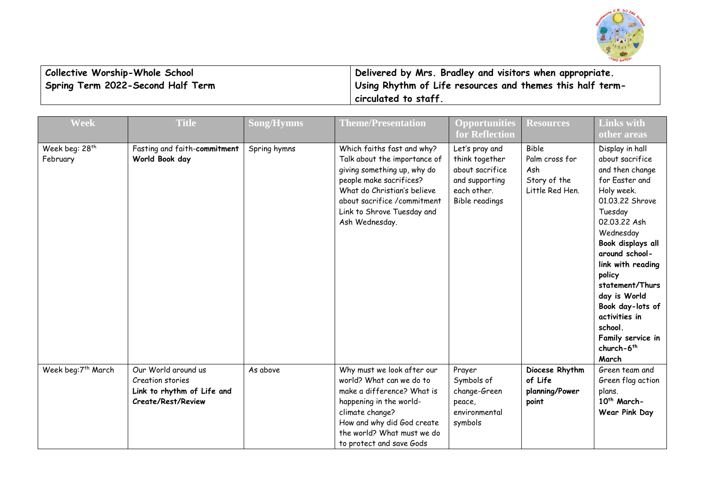

| Collective Worship-Whole School   | Delivered by Mrs. Bradley and visitors when appropriate.  |
|-----------------------------------|-----------------------------------------------------------|
| Spring Term 2022-Second Half Term | Using Rhythm of Life resources and themes this half term- |
|                                   | circulated to staff.                                      |

| <b>Week</b>                            | <b>Title</b>                                                                                | <b>Song/Hymns</b> | <b>Theme/Presentation</b>                                                                                                                                                                                                          | <b>Opportunities</b><br>for Reflection                                                                 | <b>Resources</b>                                                         | <b>Links with</b><br>other areas                                                                                                                                                                                                                                                                                                                         |
|----------------------------------------|---------------------------------------------------------------------------------------------|-------------------|------------------------------------------------------------------------------------------------------------------------------------------------------------------------------------------------------------------------------------|--------------------------------------------------------------------------------------------------------|--------------------------------------------------------------------------|----------------------------------------------------------------------------------------------------------------------------------------------------------------------------------------------------------------------------------------------------------------------------------------------------------------------------------------------------------|
| Week beg: 28 <sup>th</sup><br>February | Fasting and faith-commitment<br>World Book day                                              | Spring hymns      | Which faiths fast and why?<br>Talk about the importance of<br>giving something up, why do<br>people make sacrifices?<br>What do Christian's believe<br>about sacrifice /commitment<br>Link to Shrove Tuesday and<br>Ash Wednesday. | Let's pray and<br>think together<br>about sacrifice<br>and supporting<br>each other.<br>Bible readings | <b>Bible</b><br>Palm cross for<br>Ash<br>Story of the<br>Little Red Hen. | Display in hall<br>about sacrifice<br>and then change<br>for Easter and<br>Holy week.<br>01.03.22 Shrove<br>Tuesday<br>02.03.22 Ash<br>Wednesday<br>Book displays all<br>around school-<br>link with reading<br>policy<br>statement/Thurs<br>day is World<br>Book day-lots of<br>activities in<br>school.<br>Family service in<br>church- $6th$<br>March |
| Week beg:7th March                     | Our World around us<br>Creation stories<br>Link to rhythm of Life and<br>Create/Rest/Review | As above          | Why must we look after our<br>world? What can we do to<br>make a difference? What is<br>happening in the world-<br>climate change?<br>How and why did God create<br>the world? What must we do<br>to protect and save Gods         | Prayer<br>Symbols of<br>change-Green<br>peace,<br>environmental<br>symbols                             | Diocese Rhythm<br>of Life<br>planning/Power<br>point                     | Green team and<br>Green flag action<br>plans.<br>10 <sup>th</sup> March-<br>Wear Pink Day                                                                                                                                                                                                                                                                |